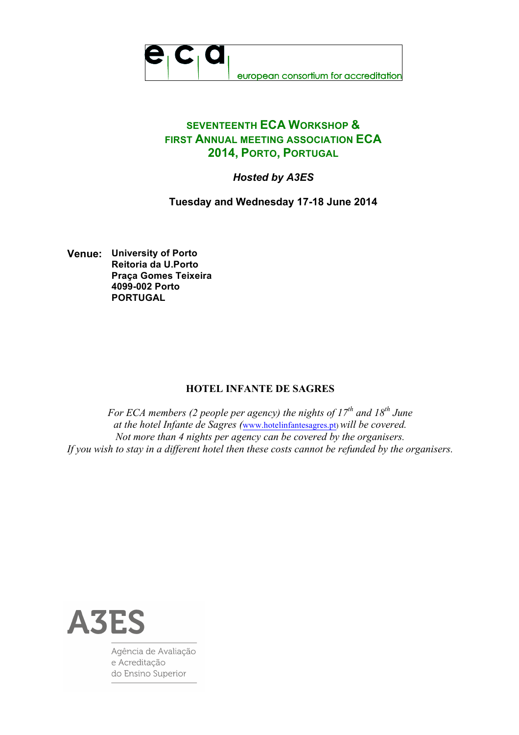

## **SEVENTEENTH ECA WORKSHOP & FIRST ANNUAL MEETING ASSOCIATION ECA 2014, PORTO, PORTUGAL**

## *Hosted by A3ES*

**Tuesday and Wednesday 17-18 June 2014**

**Venue: University of Porto Reitoria da U.Porto Praça Gomes Teixeira 4099-002 Porto PORTUGAL**

## **HOTEL INFANTE DE SAGRES**

*For ECA members (2 people per agency) the nights of 17<sup>th</sup> and 18<sup>th</sup> June at the hotel Infante de Sagres (*www.hotelinfantesagres.pt) *will be covered. Not more than 4 nights per agency can be covered by the organisers. If you wish to stay in a different hotel then these costs cannot be refunded by the organisers.* 



Agência de Avaliação e Acreditação do Ensino Superior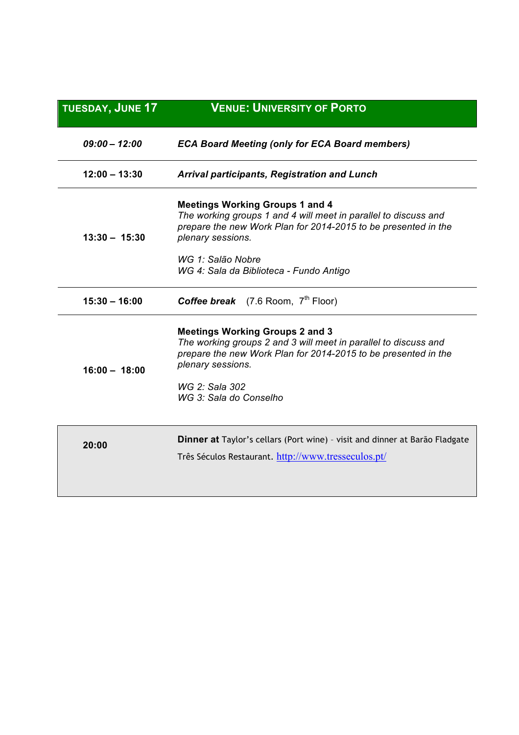| <b>TUESDAY, JUNE 17</b> | <b>VENUE: UNIVERSITY OF PORTO</b>                                                                                                                                                                                                            |
|-------------------------|----------------------------------------------------------------------------------------------------------------------------------------------------------------------------------------------------------------------------------------------|
| $09:00 - 12:00$         | <b>ECA Board Meeting (only for ECA Board members)</b>                                                                                                                                                                                        |
| $12:00 - 13:30$         | <b>Arrival participants, Registration and Lunch</b>                                                                                                                                                                                          |
| $13:30 - 15:30$         | <b>Meetings Working Groups 1 and 4</b><br>The working groups 1 and 4 will meet in parallel to discuss and<br>prepare the new Work Plan for 2014-2015 to be presented in the<br>plenary sessions.                                             |
|                         | WG 1: Salão Nobre<br>WG 4: Sala da Biblioteca - Fundo Antigo                                                                                                                                                                                 |
| $15:30 - 16:00$         | <b>Coffee break</b> (7.6 Room, $7th$ Floor)                                                                                                                                                                                                  |
| $16:00 - 18:00$         | <b>Meetings Working Groups 2 and 3</b><br>The working groups 2 and 3 will meet in parallel to discuss and<br>prepare the new Work Plan for 2014-2015 to be presented in the<br>plenary sessions.<br>WG 2: Sala 302<br>WG 3: Sala do Conselho |
| 20:00                   | <b>Dinner at</b> Taylor's cellars (Port wine) - visit and dinner at Barão Fladgate<br>Três Séculos Restaurant. http://www.tresseculos.pt/                                                                                                    |